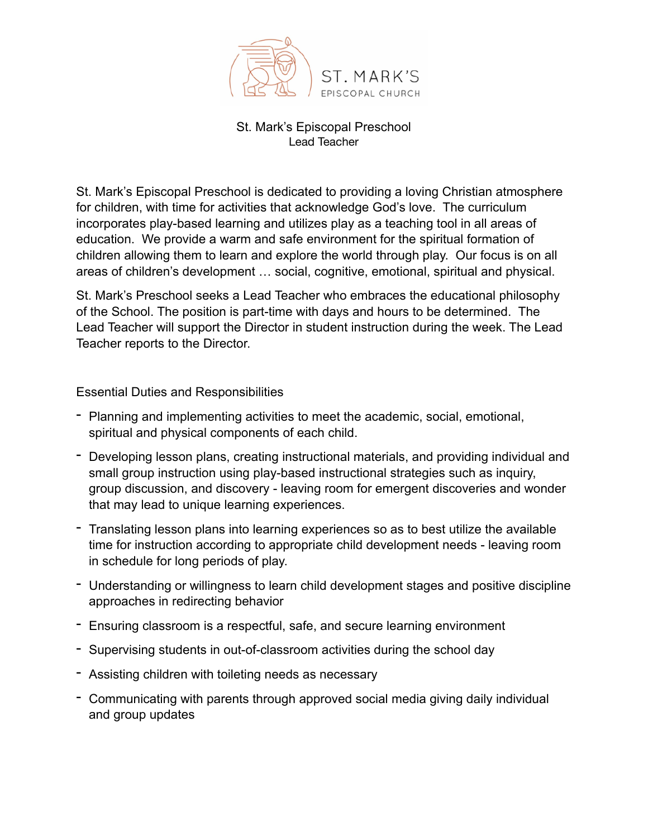

## St. Mark's Episcopal Preschool Lead Teacher

St. Mark's Episcopal Preschool is dedicated to providing a loving Christian atmosphere for children, with time for activities that acknowledge God's love. The curriculum incorporates play-based learning and utilizes play as a teaching tool in all areas of education. We provide a warm and safe environment for the spiritual formation of children allowing them to learn and explore the world through play. Our focus is on all areas of children's development … social, cognitive, emotional, spiritual and physical.

St. Mark's Preschool seeks a Lead Teacher who embraces the educational philosophy of the School. The position is part-time with days and hours to be determined. The Lead Teacher will support the Director in student instruction during the week. The Lead Teacher reports to the Director.

Essential Duties and Responsibilities

- Planning and implementing activities to meet the academic, social, emotional, spiritual and physical components of each child.
- Developing lesson plans, creating instructional materials, and providing individual and small group instruction using play-based instructional strategies such as inquiry, group discussion, and discovery - leaving room for emergent discoveries and wonder that may lead to unique learning experiences.
- Translating lesson plans into learning experiences so as to best utilize the available time for instruction according to appropriate child development needs - leaving room in schedule for long periods of play.
- Understanding or willingness to learn child development stages and positive discipline approaches in redirecting behavior
- Ensuring classroom is a respectful, safe, and secure learning environment
- Supervising students in out-of-classroom activities during the school day
- Assisting children with toileting needs as necessary
- Communicating with parents through approved social media giving daily individual and group updates